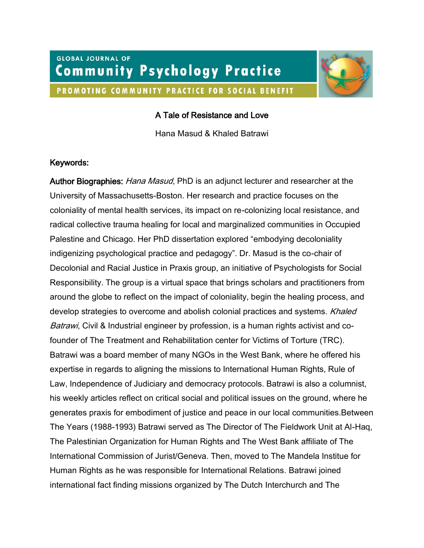# **GLOBAL JOURNAL OF Community Psychology Practice** PROMOTING COMMUNITY PRACTICE FOR SOCIAL BENEFIT



### A Tale of Resistance and Love

Hana Masud & Khaled Batrawi

### Keywords:

Author Biographies: *Hana Masud*, PhD is an adjunct lecturer and researcher at the University of Massachusetts-Boston. Her research and practice focuses on the coloniality of mental health services, its impact on re-colonizing local resistance, and radical collective trauma healing for local and marginalized communities in Occupied Palestine and Chicago. Her PhD dissertation explored "embodying decoloniality indigenizing psychological practice and pedagogy". Dr. Masud is the co-chair of Decolonial and Racial Justice in Praxis group, an initiative of Psychologists for Social Responsibility. The group is a virtual space that brings scholars and practitioners from around the globe to reflect on the impact of coloniality, begin the healing process, and develop strategies to overcome and abolish colonial practices and systems. Khaled Batrawi, Civil & Industrial engineer by profession, is a human rights activist and cofounder of The Treatment and Rehabilitation center for Victims of Torture (TRC). Batrawi was a board member of many NGOs in the West Bank, where he offered his expertise in regards to aligning the missions to International Human Rights, Rule of Law, Independence of Judiciary and democracy protocols. Batrawi is also a columnist, his weekly articles reflect on critical social and political issues on the ground, where he generates praxis for embodiment of justice and peace in our local communities.Between The Years (1988-1993) Batrawi served as The Director of The Fieldwork Unit at Al-Haq, The Palestinian Organization for Human Rights and The West Bank affiliate of The International Commission of Jurist/Geneva. Then, moved to The Mandela Institue for Human Rights as he was responsible for International Relations. Batrawi joined international fact finding missions organized by The Dutch Interchurch and The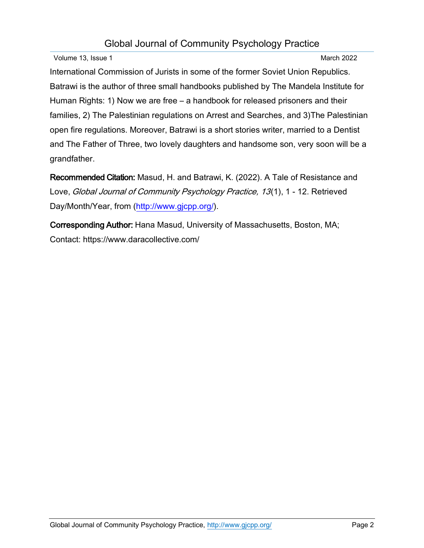## Global Journal of Community Psychology Practice

Volume 13, Issue 1 **March 2022** 

International Commission of Jurists in some of the former Soviet Union Republics. Batrawi is the author of three small handbooks published by The Mandela Institute for Human Rights: 1) Now we are free – a handbook for released prisoners and their families, 2) The Palestinian regulations on Arrest and Searches, and 3)The Palestinian open fire regulations. Moreover, Batrawi is a short stories writer, married to a Dentist and The Father of Three, two lovely daughters and handsome son, very soon will be a grandfather.

Recommended Citation: Masud, H. and Batrawi, K. (2022). A Tale of Resistance and Love, Global Journal of Community Psychology Practice, 13(1), 1 - 12. Retrieved Day/Month/Year, from [\(http://www.gjcpp.org/\)](http://www.gjcpp.org/).

Corresponding Author: Hana Masud, University of Massachusetts, Boston, MA; Contact: [https://www.daracollectiv](https://www.daracollective.com/)e.com/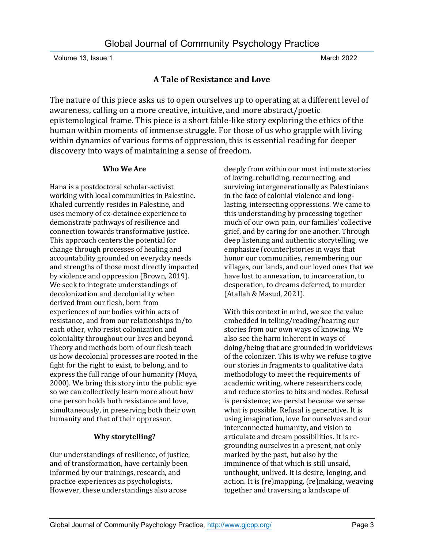### **A Tale of Resistance and Love**

The nature of this piece asks us to open ourselves up to operating at a different level of awareness, calling on a more creative, intuitive, and more abstract/poetic epistemological frame. This piece is a short fable-like story exploring the ethics of the human within moments of immense struggle. For those of us who grapple with living within dynamics of various forms of oppression, this is essential reading for deeper discovery into ways of maintaining a sense of freedom.

#### **Who We Are**

Hana is a postdoctoral scholar-activist working with local communities in Palestine. Khaled currently resides in Palestine, and uses memory of ex-detainee experience to demonstrate pathways of resilience and connection towards transformative justice. This approach centers the potential for change through processes of healing and accountability grounded on everyday needs and strengths of those most directly impacted by violence and oppression (Brown, 2019). We seek to integrate understandings of decolonization and decoloniality when derived from our flesh, born from experiences of our bodies within acts of resistance, and from our relationships in/to each other, who resist colonization and coloniality throughout our lives and beyond. Theory and methods born of our flesh teach us how decolonial processes are rooted in the fight for the right to exist, to belong, and to express the full range of our humanity (Moya, 2000). We bring this story into the public eye so we can collectively learn more about how one person holds both resistance and love, simultaneously, in preserving both their own humanity and that of their oppressor.

### **Why storytelling?**

Our understandings of resilience, of justice, and of transformation, have certainly been informed by our trainings, research, and practice experiences as psychologists. However, these understandings also arose

deeply from within our most intimate stories of loving, rebuilding, reconnecting, and surviving intergenerationally as Palestinians in the face of colonial violence and longlasting, intersecting oppressions. We came to this understanding by processing together much of our own pain, our families' collective grief, and by caring for one another. Through deep listening and authentic storytelling, we emphasize (counter)stories in ways that honor our communities, remembering our villages, our lands, and our loved ones that we have lost to annexation, to incarceration, to desperation, to dreams deferred, to murder (Atallah & Masud, 2021).

With this context in mind, we see the value embedded in telling/reading/hearing our stories from our own ways of knowing. We also see the harm inherent in ways of doing/being that are grounded in worldviews of the colonizer. This is why we refuse to give our stories in fragments to qualitative data methodology to meet the requirements of academic writing, where researchers code, and reduce stories to bits and nodes. Refusal is persistence; we persist because we sense what is possible. Refusal is generative. It is using imagination, love for ourselves and our interconnected humanity, and vision to articulate and dream possibilities. It is regrounding ourselves in a present, not only marked by the past, but also by the imminence of that which is still unsaid, unthought, unlived. It is desire, longing, and action. It is (re)mapping, (re)making, weaving together and traversing a landscape of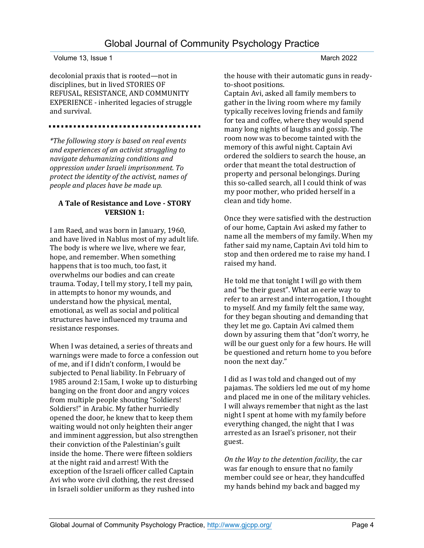decolonial praxis that is rooted—not in disciplines, but in lived STORIES OF REFUSAL, RESISTANCE, AND COMMUNITY EXPERIENCE - inherited legacies of struggle and survival.

*\*The following story is based on real events and experiences of an activist struggling to navigate dehumanizing conditions and oppression under Israeli imprisonment. To protect the identity of the activist, names of people and places have be made up.* 

#### **A Tale of Resistance and Love - STORY VERSION 1:**

I am Raed, and was born in January, 1960, and have lived in Nablus most of my adult life. The body is where we live, where we fear, hope, and remember. When something happens that is too much, too fast, it overwhelms our bodies and can create trauma. Today, I tell my story, I tell my pain, in attempts to honor my wounds, and understand how the physical, mental, emotional, as well as social and political structures have influenced my trauma and resistance responses.

When I was detained, a series of threats and warnings were made to force a confession out of me, and if I didn't conform, I would be subjected to Penal liability. In February of 1985 around 2:15am, I woke up to disturbing banging on the front door and angry voices from multiple people shouting "Soldiers! Soldiers!" in Arabic. My father hurriedly opened the door, he knew that to keep them waiting would not only heighten their anger and imminent aggression, but also strengthen their conviction of the Palestinian's guilt inside the home. There were fifteen soldiers at the night raid and arrest! With the exception of the Israeli officer called Captain Avi who wore civil clothing, the rest dressed in Israeli soldier uniform as they rushed into

the house with their automatic guns in readyto-shoot positions.

Captain Avi, asked all family members to gather in the living room where my family typically receives loving friends and family for tea and coffee, where they would spend many long nights of laughs and gossip. The room now was to become tainted with the memory of this awful night. Captain Avi ordered the soldiers to search the house, an order that meant the total destruction of property and personal belongings. During this so-called search, all I could think of was my poor mother, who prided herself in a clean and tidy home.

Once they were satisfied with the destruction of our home, Captain Avi asked my father to name all the members of my family. When my father said my name, Captain Avi told him to stop and then ordered me to raise my hand. I raised my hand.

He told me that tonight I will go with them and "be their guest". What an eerie way to refer to an arrest and interrogation, I thought to myself. And my family felt the same way, for they began shouting and demanding that they let me go. Captain Avi calmed them down by assuring them that "don't worry, he will be our guest only for a few hours. He will be questioned and return home to you before noon the next day."

I did as I was told and changed out of my pajamas. The soldiers led me out of my home and placed me in one of the military vehicles. I will always remember that night as the last night I spent at home with my family before everything changed, the night that I was arrested as an Israel's prisoner, not their guest.

*On the Way to the detention facility*, the car was far enough to ensure that no family member could see or hear, they handcuffed my hands behind my back and bagged my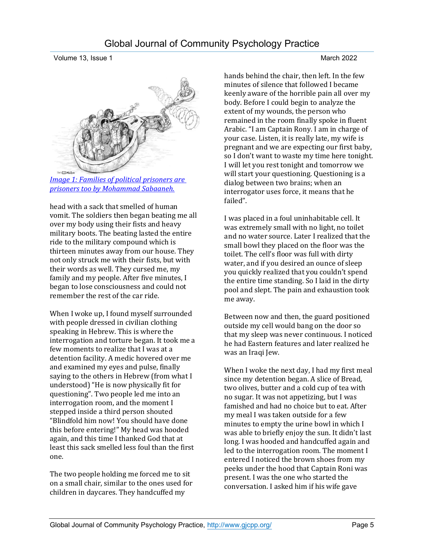

*[Image 1: Families of political prisoners are](https://www.transcend.org/tms/2018/03/drawing-palestine-from-prison-the-artwork-of-palestinian-cartoonist-mohammad-sabaaneh/)  [prisoners too by Mohammad Sabaaneh.](https://www.transcend.org/tms/2018/03/drawing-palestine-from-prison-the-artwork-of-palestinian-cartoonist-mohammad-sabaaneh/)*

head with a sack that smelled of human vomit. The soldiers then began beating me all over my body using their fists and heavy military boots. The beating lasted the entire ride to the military compound which is thirteen minutes away from our house. They not only struck me with their fists, but with their words as well. They cursed me, my family and my people. After five minutes, I began to lose consciousness and could not remember the rest of the car ride.

When I woke up, I found myself surrounded with people dressed in civilian clothing speaking in Hebrew. This is where the interrogation and torture began. It took me a few moments to realize that I was at a detention facility. A medic hovered over me and examined my eyes and pulse, finally saying to the others in Hebrew (from what I understood) "He is now physically fit for questioning". Two people led me into an interrogation room, and the moment I stepped inside a third person shouted "Blindfold him now! You should have done this before entering!" My head was hooded again, and this time I thanked God that at least this sack smelled less foul than the first one.

The two people holding me forced me to sit on a small chair, similar to the ones used for children in daycares. They handcuffed my

hands behind the chair, then left. In the few minutes of silence that followed I became keenly aware of the horrible pain all over my body. Before I could begin to analyze the extent of my wounds, the person who remained in the room finally spoke in fluent Arabic. "I am Captain Rony. I am in charge of your case. Listen, it is really late, my wife is pregnant and we are expecting our first baby, so I don't want to waste my time here tonight. I will let you rest tonight and tomorrow we will start your questioning. Questioning is a dialog between two brains; when an interrogator uses force, it means that he failed".

I was placed in a foul uninhabitable cell. It was extremely small with no light, no toilet and no water source. Later I realized that the small bowl they placed on the floor was the toilet. The cell's floor was full with dirty water, and if you desired an ounce of sleep you quickly realized that you couldn't spend the entire time standing. So I laid in the dirty pool and slept. The pain and exhaustion took me away.

Between now and then, the guard positioned outside my cell would bang on the door so that my sleep was never continuous. I noticed he had Eastern features and later realized he was an Iraqi Jew.

When I woke the next day, I had my first meal since my detention began. A slice of Bread, two olives, butter and a cold cup of tea with no sugar. It was not appetizing, but I was famished and had no choice but to eat. After my meal I was taken outside for a few minutes to empty the urine bowl in which I was able to briefly enjoy the sun. It didn't last long. I was hooded and handcuffed again and led to the interrogation room. The moment I entered I noticed the brown shoes from my peeks under the hood that Captain Roni was present. I was the one who started the conversation. I asked him if his wife gave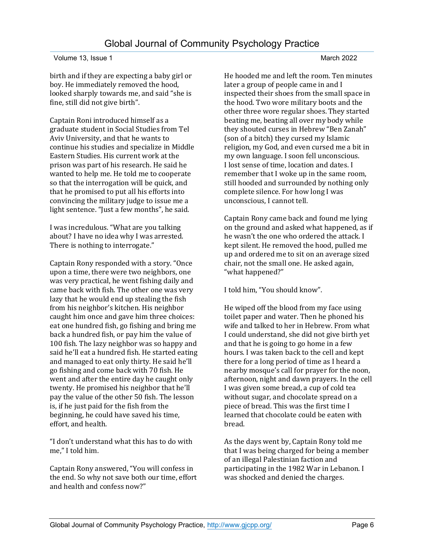birth and if they are expecting a baby girl or boy. He immediately removed the hood, looked sharply towards me, and said "she is fine, still did not give birth".

Captain Roni introduced himself as a graduate student in Social Studies from Tel Aviv University, and that he wants to continue his studies and specialize in Middle Eastern Studies. His current work at the prison was part of his research. He said he wanted to help me. He told me to cooperate so that the interrogation will be quick, and that he promised to put all his efforts into convincing the military judge to issue me a light sentence. "Just a few months", he said.

I was incredulous. "What are you talking about? I have no idea why I was arrested. There is nothing to interrogate."

Captain Rony responded with a story. "Once upon a time, there were two neighbors, one was very practical, he went fishing daily and came back with fish. The other one was very lazy that he would end up stealing the fish from his neighbor's kitchen. His neighbor caught him once and gave him three choices: eat one hundred fish, go fishing and bring me back a hundred fish, or pay him the value of 100 fish. The lazy neighbor was so happy and said he'll eat a hundred fish. He started eating and managed to eat only thirty. He said he'll go fishing and come back with 70 fish. He went and after the entire day he caught only twenty. He promised his neighbor that he'll pay the value of the other 50 fish. The lesson is, if he just paid for the fish from the beginning, he could have saved his time, effort, and health.

"I don't understand what this has to do with me," I told him.

Captain Rony answered, "You will confess in the end. So why not save both our time, effort and health and confess now?"

He hooded me and left the room. Ten minutes later a group of people came in and I inspected their shoes from the small space in the hood. Two wore military boots and the other three wore regular shoes. They started beating me, beating all over my body while they shouted curses in Hebrew "Ben Zanah" (son of a bitch) they cursed my Islamic religion, my God, and even cursed me a bit in my own language. I soon fell unconscious. I lost sense of time, location and dates. I remember that I woke up in the same room, still hooded and surrounded by nothing only complete silence. For how long I was unconscious, I cannot tell.

Captain Rony came back and found me lying on the ground and asked what happened, as if he wasn't the one who ordered the attack. I kept silent. He removed the hood, pulled me up and ordered me to sit on an average sized chair, not the small one. He asked again, "what happened?"

I told him, "You should know".

He wiped off the blood from my face using toilet paper and water. Then he phoned his wife and talked to her in Hebrew. From what I could understand, she did not give birth yet and that he is going to go home in a few hours. I was taken back to the cell and kept there for a long period of time as I heard a nearby mosque's call for prayer for the noon, afternoon, night and dawn prayers. In the cell I was given some bread, a cup of cold tea without sugar, and chocolate spread on a piece of bread. This was the first time I learned that chocolate could be eaten with bread.

As the days went by, Captain Rony told me that I was being charged for being a member of an illegal Palestinian faction and participating in the 1982 War in Lebanon. I was shocked and denied the charges.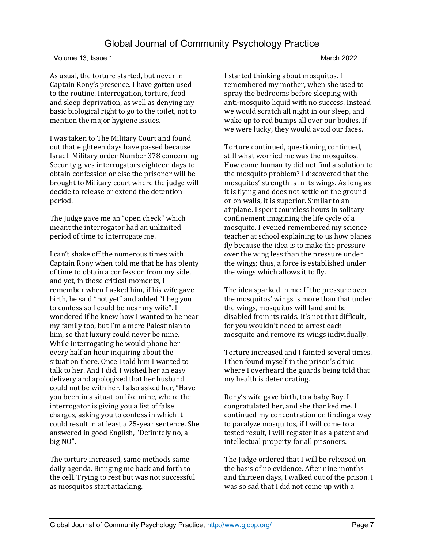As usual, the torture started, but never in Captain Rony's presence. I have gotten used to the routine. Interrogation, torture, food and sleep deprivation, as well as denying my basic biological right to go to the toilet, not to mention the major hygiene issues.

I was taken to The Military Court and found out that eighteen days have passed because Israeli Military order Number 378 concerning Security gives interrogators eighteen days to obtain confession or else the prisoner will be brought to Military court where the judge will decide to release or extend the detention period.

The Judge gave me an "open check" which meant the interrogator had an unlimited period of time to interrogate me.

I can't shake off the numerous times with Captain Rony when told me that he has plenty of time to obtain a confession from my side, and yet, in those critical moments, I remember when I asked him, if his wife gave birth, he said "not yet" and added "I beg you to confess so I could be near my wife". I wondered if he knew how I wanted to be near my family too, but I'm a mere Palestinian to him, so that luxury could never be mine. While interrogating he would phone her every half an hour inquiring about the situation there. Once I told him I wanted to talk to her. And I did. I wished her an easy delivery and apologized that her husband could not be with her. I also asked her, "Have you been in a situation like mine, where the interrogator is giving you a list of false charges, asking you to confess in which it could result in at least a 25-year sentence. She answered in good English, "Definitely no, a big NO".

The torture increased, same methods same daily agenda. Bringing me back and forth to the cell. Trying to rest but was not successful as mosquitos start attacking.

I started thinking about mosquitos. I remembered my mother, when she used to spray the bedrooms before sleeping with anti-mosquito liquid with no success. Instead we would scratch all night in our sleep, and wake up to red bumps all over our bodies. If we were lucky, they would avoid our faces.

Torture continued, questioning continued, still what worried me was the mosquitos. How come humanity did not find a solution to the mosquito problem? I discovered that the mosquitos' strength is in its wings. As long as it is flying and does not settle on the ground or on walls, it is superior. Similar to an airplane. I spent countless hours in solitary confinement imagining the life cycle of a mosquito. I evened remembered my science teacher at school explaining to us how planes fly because the idea is to make the pressure over the wing less than the pressure under the wings; thus, a force is established under the wings which allows it to fly.

The idea sparked in me: If the pressure over the mosquitos' wings is more than that under the wings, mosquitos will land and be disabled from its raids. It's not that difficult, for you wouldn't need to arrest each mosquito and remove its wings individually.

Torture increased and I fainted several times. I then found myself in the prison's clinic where I overheard the guards being told that my health is deteriorating.

Rony's wife gave birth, to a baby Boy, I congratulated her, and she thanked me. I continued my concentration on finding a way to paralyze mosquitos, if I will come to a tested result, I will register it as a patent and intellectual property for all prisoners.

The Judge ordered that I will be released on the basis of no evidence. After nine months and thirteen days, I walked out of the prison. I was so sad that I did not come up with a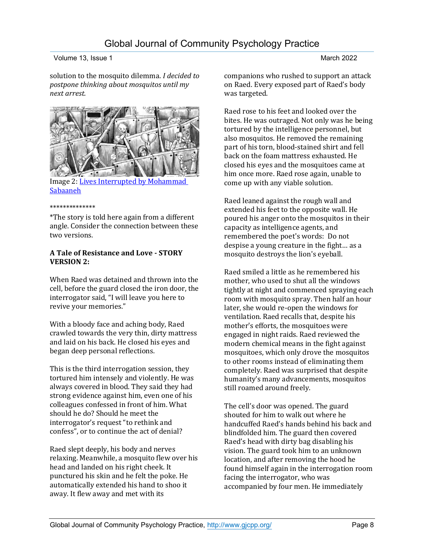solution to the mosquito dilemma. *I decided to postpone thinking about mosquitos until my next arrest.*



Image 2[: Lives Interrupted by Mohammad](https://www.transcend.org/tms/2018/03/drawing-palestine-from-prison-the-artwork-of-palestinian-cartoonist-mohammad-sabaaneh/)  **[Sabaaneh](https://www.transcend.org/tms/2018/03/drawing-palestine-from-prison-the-artwork-of-palestinian-cartoonist-mohammad-sabaaneh/)** 

#### \*\*\*\*\*\*\*\*\*\*\*\*\*\*

\*The story is told here again from a different angle. Consider the connection between these two versions.

#### **A Tale of Resistance and Love - STORY VERSION 2:**

When Raed was detained and thrown into the cell, before the guard closed the iron door, the interrogator said, "I will leave you here to revive your memories."

With a bloody face and aching body, Raed crawled towards the very thin, dirty mattress and laid on his back. He closed his eyes and began deep personal reflections.

This is the third interrogation session, they tortured him intensely and violently. He was always covered in blood. They said they had strong evidence against him, even one of his colleagues confessed in front of him. What should he do? Should he meet the interrogator's request "to rethink and confess", or to continue the act of denial?

Raed slept deeply, his body and nerves relaxing. Meanwhile, a mosquito flew over his head and landed on his right cheek. It punctured his skin and he felt the poke. He automatically extended his hand to shoo it away. It flew away and met with its

companions who rushed to support an attack on Raed. Every exposed part of Raed's body

Raed rose to his feet and looked over the bites. He was outraged. Not only was he being tortured by the intelligence personnel, but also mosquitos. He removed the remaining part of his torn, blood-stained shirt and fell back on the foam mattress exhausted. He closed his eyes and the mosquitoes came at him once more. Raed rose again, unable to come up with any viable solution.

Raed leaned against the rough wall and extended his feet to the opposite wall. He poured his anger onto the mosquitos in their capacity as intelligence agents, and remembered the poet's words: Do not despise a young creature in the fight… as a mosquito destroys the lion's eyeball.

Raed smiled a little as he remembered his mother, who used to shut all the windows tightly at night and commenced spraying each room with mosquito spray. Then half an hour later, she would re-open the windows for ventilation. Raed recalls that, despite his mother's efforts, the mosquitoes were engaged in night raids. Raed reviewed the modern chemical means in the fight against mosquitoes, which only drove the mosquitos to other rooms instead of eliminating them completely. Raed was surprised that despite humanity's many advancements, mosquitos still roamed around freely.

The cell's door was opened. The guard shouted for him to walk out where he handcuffed Raed's hands behind his back and blindfolded him. The guard then covered Raed's head with dirty bag disabling his vision. The guard took him to an unknown location, and after removing the hood he found himself again in the interrogation room facing the interrogator, who was accompanied by four men. He immediately

was targeted.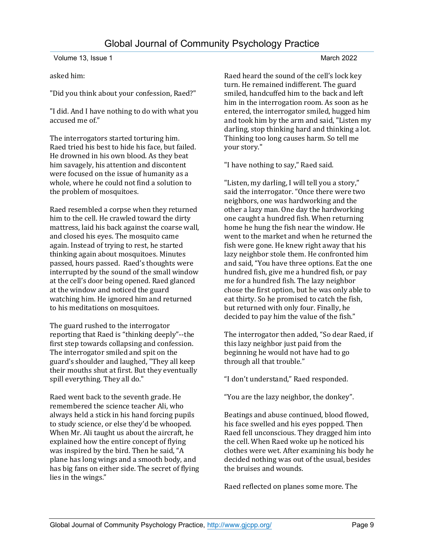asked him:

"Did you think about your confession, Raed?"

"I did. And I have nothing to do with what you accused me of."

The interrogators started torturing him. Raed tried his best to hide his face, but failed. He drowned in his own blood. As they beat him savagely, his attention and discontent were focused on the issue of humanity as a whole, where he could not find a solution to the problem of mosquitoes.

Raed resembled a corpse when they returned him to the cell. He crawled toward the dirty mattress, laid his back against the coarse wall, and closed his eyes. The mosquito came again. Instead of trying to rest, he started thinking again about mosquitoes. Minutes passed, hours passed. Raed's thoughts were interrupted by the sound of the small window at the cell's door being opened. Raed glanced at the window and noticed the guard watching him. He ignored him and returned to his meditations on mosquitoes.

The guard rushed to the interrogator reporting that Raed is "thinking deeply"--the first step towards collapsing and confession. The interrogator smiled and spit on the guard's shoulder and laughed, "They all keep their mouths shut at first. But they eventually spill everything. They all do."

Raed went back to the seventh grade. He remembered the science teacher Ali, who always held a stick in his hand forcing pupils to study science, or else they'd be whooped. When Mr. Ali taught us about the aircraft, he explained how the entire concept of flying was inspired by the bird. Then he said, "A plane has long wings and a smooth body, and has big fans on either side. The secret of flying lies in the wings."

Raed heard the sound of the cell's lock key turn. He remained indifferent. The guard smiled, handcuffed him to the back and left him in the interrogation room. As soon as he entered, the interrogator smiled, hugged him and took him by the arm and said, "Listen my darling, stop thinking hard and thinking a lot. Thinking too long causes harm. So tell me your story."

"I have nothing to say," Raed said.

"Listen, my darling, I will tell you a story," said the interrogator. "Once there were two neighbors, one was hardworking and the other a lazy man. One day the hardworking one caught a hundred fish. When returning home he hung the fish near the window. He went to the market and when he returned the fish were gone. He knew right away that his lazy neighbor stole them. He confronted him and said, "You have three options. Eat the one hundred fish, give me a hundred fish, or pay me for a hundred fish. The lazy neighbor chose the first option, but he was only able to eat thirty. So he promised to catch the fish, but returned with only four. Finally, he decided to pay him the value of the fish."

The interrogator then added, "So dear Raed, if this lazy neighbor just paid from the beginning he would not have had to go through all that trouble."

"I don't understand," Raed responded.

"You are the lazy neighbor, the donkey".

Beatings and abuse continued, blood flowed, his face swelled and his eyes popped. Then Raed fell unconscious. They dragged him into the cell. When Raed woke up he noticed his clothes were wet. After examining his body he decided nothing was out of the usual, besides the bruises and wounds.

Raed reflected on planes some more. The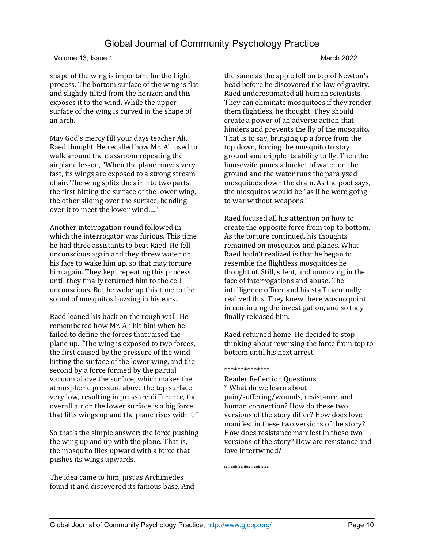shape of the wing is important for the flight process. The bottom surface of the wing is flat and slightly tilted from the horizon and this exposes it to the wind. While the upper surface of the wing is curved in the shape of an arch.

May God's mercy fill your days teacher Ali, Raed thought. He recalled how Mr. Ali used to walk around the classroom repeating the airplane lesson, "When the plane moves very fast, its wings are exposed to a strong stream of air. The wing splits the air into two parts, the first hitting the surface of the lower wing, the other sliding over the surface, bending over it to meet the lower wind….."

Another interrogation round followed in which the interrogator was furious. This time he had three assistants to beat Raed. He fell unconscious again and they threw water on his face to wake him up, so that may torture him again. They kept repeating this process until they finally returned him to the cell unconscious. But he woke up this time to the sound of mosquitos buzzing in his ears.

Raed leaned his back on the rough wall. He remembered how Mr. Ali hit him when he failed to define the forces that raised the plane up. "The wing is exposed to two forces, the first caused by the pressure of the wind hitting the surface of the lower wing, and the second by a force formed by the partial vacuum above the surface, which makes the atmospheric pressure above the top surface very low, resulting in pressure difference, the overall air on the lower surface is a big force that lifts wings up and the plane rises with it."

So that's the simple answer: the force pushing the wing up and up with the plane. That is, the mosquito flies upward with a force that pushes its wings upwards.

The idea came to him, just as Archimedes found it and discovered its famous base. And the same as the apple fell on top of Newton's head before he discovered the law of gravity. Raed underestimated all human scientists. They can eliminate mosquitoes if they render them flightless, he thought. They should create a power of an adverse action that hinders and prevents the fly of the mosquito. That is to say, bringing up a force from the top down, forcing the mosquito to stay ground and cripple its ability to fly. Then the housewife pours a bucket of water on the ground and the water runs the paralyzed mosquitoes down the drain. As the poet says, the mosquitos would be "as if he were going to war without weapons."

Raed focused all his attention on how to create the opposite force from top to bottom. As the torture continued, his thoughts remained on mosquitos and planes. What Raed hadn't realized is that he began to resemble the flightless mosquitoes he thought of. Still, silent, and unmoving in the face of interrogations and abuse. The intelligence officer and his staff eventually realized this. They knew there was no point in continuing the investigation, and so they finally released him.

Raed returned home. He decided to stop thinking about reversing the force from top to bottom until his next arrest.

#### \*\*\*\*\*\*\*\*\*\*\*\*\*\*

Reader Reflection Questions \* What do we learn about pain/suffering/wounds, resistance, and human connection? How do these two versions of the story differ? How does love manifest in these two versions of the story? How does resistance manifest in these two versions of the story? How are resistance and love intertwined?

\*\*\*\*\*\*\*\*\*\*\*\*\*\*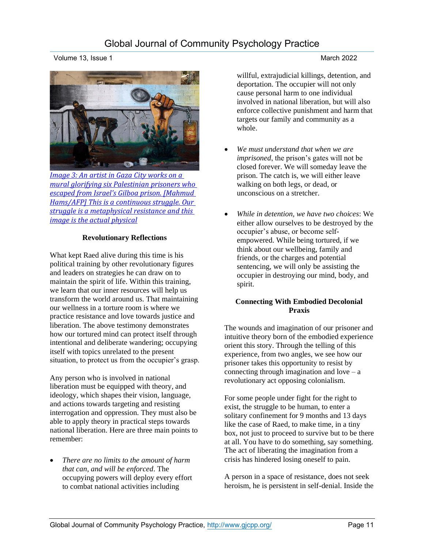*[Image 3: An artist in Gaza City works on a](https://www.aljazeera.com/gallery/2021/9/19/spoons-a-new-symbol-of-palestinian-freedom)  [mural glorifying six Palestinian prisoners who](https://www.aljazeera.com/gallery/2021/9/19/spoons-a-new-symbol-of-palestinian-freedom)  [escaped from Israel's Gilboa prison. \[Mahmud](https://www.aljazeera.com/gallery/2021/9/19/spoons-a-new-symbol-of-palestinian-freedom)  [Hams/AFP\] This is a continuous struggle. Our](https://www.aljazeera.com/gallery/2021/9/19/spoons-a-new-symbol-of-palestinian-freedom)  [struggle is a metaphysical resistance and this](https://www.aljazeera.com/gallery/2021/9/19/spoons-a-new-symbol-of-palestinian-freedom)  [image is the actual physical](https://www.aljazeera.com/gallery/2021/9/19/spoons-a-new-symbol-of-palestinian-freedom)*

#### **Revolutionary Reflections**

What kept Raed alive during this time is his political training by other revolutionary figures and leaders on strategies he can draw on to maintain the spirit of life. Within this training, we learn that our inner resources will help us transform the world around us. That maintaining our wellness in a torture room is where we practice resistance and love towards justice and liberation. The above testimony demonstrates how our tortured mind can protect itself through intentional and deliberate wandering; occupying itself with topics unrelated to the present situation, to protect us from the occupier's grasp.

Any person who is involved in national liberation must be equipped with theory, and ideology, which shapes their vision, language, and actions towards targeting and resisting interrogation and oppression. They must also be able to apply theory in practical steps towards national liberation. Here are three main points to remember:

• *There are no limits to the amount of harm that can, and will be enforced*. The occupying powers will deploy every effort to combat national activities including

#### willful, extrajudicial killings, detention, and deportation. The occupier will not only cause personal harm to one individual involved in national liberation, but will also enforce collective punishment and harm that targets our family and community as a whole.

- *We must understand that when we are imprisoned*, the prison's gates will not be closed forever. We will someday leave the prison. The catch is, we will either leave walking on both legs, or dead, or unconscious on a stretcher.
- *While in detention, we have two choices*: We either allow ourselves to be destroyed by the occupier's abuse, or become selfempowered. While being tortured, if we think about our wellbeing, family and friends, or the charges and potential sentencing, we will only be assisting the occupier in destroying our mind, body, and spirit.

#### **Connecting With Embodied Decolonial Praxis**

The wounds and imagination of our prisoner and intuitive theory born of the embodied experience orient this story. Through the telling of this experience, from two angles, we see how our prisoner takes this opportunity to resist by connecting through imagination and love  $-a$ revolutionary act opposing colonialism.

For some people under fight for the right to exist, the struggle to be human, to enter a solitary confinement for 9 months and 13 days like the case of Raed, to make time, in a tiny box, not just to proceed to survive but to be there at all. You have to do something, say something. The act of liberating the imagination from a crisis has hindered losing oneself to pain.

A person in a space of resistance, does not seek heroism, he is persistent in self-denial. Inside the